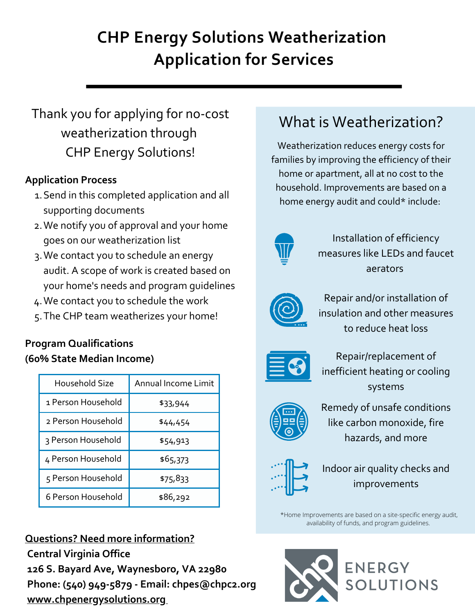# **CHP Energy Solutions Weatherization Application for Services**

# Thank you for applying for no-cost weatherization through CHP Energy Solutions!

# **Application Process**

- 1. Send in this completed application and all supporting documents
- We notify you of approval and your home 2. goes on our weatherization list
- We contact you to schedule an energy 3. audit. A scope of work is created based on your home's needs and program guidelines
- We contact you to schedule the work 4.
- The CHP team weatherizes your home! 5.

# **Program Qualifications (60% State Median Income)**

| Household Size     | Annual Income Limit |
|--------------------|---------------------|
| 1 Person Household | \$33,944            |
| 2 Person Household | \$44,454            |
| 3 Person Household | \$54,913            |
| 4 Person Household | \$65,373            |
| 5 Person Household | \$75,833            |
| 6 Person Household | \$86,292            |

**Questions? Need more information? Central Virginia Office 126 S. Bayard Ave, Waynesboro, VA 22980 Phone: (540) 949-5879 - Email: chpes@chpc2.org [www.chpenergysolutions.org](http://www.chpenergysolutions.org/)**

# What is Weatherization?

Weatherization reduces energy costs for families by improving the efficiency of their home or apartment, all at no cost to the household. Improvements are based on a home energy audit and could\* include:



Installation of efficiency measures like LEDs and faucet aerators



Repair and/or installation of insulation and other measures to reduce heat loss



Repair/replacement of inefficient heating or cooling systems



Remedy of unsafe conditions like carbon monoxide, fire hazards, and more



Indoor air quality checks and improvements

\*Home Improvements are based on a site-specific energy audit, availability of funds, and program guidelines.

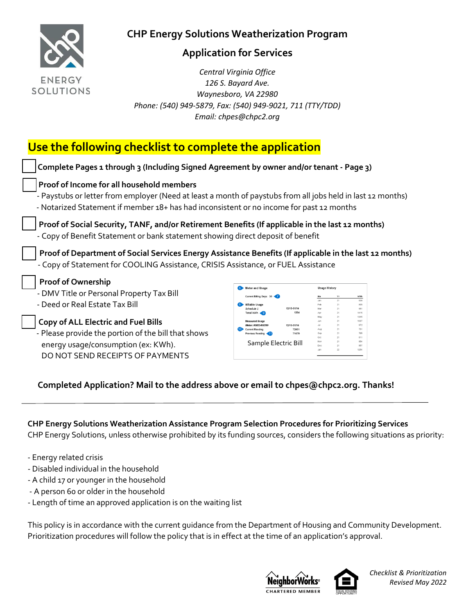

## **Application for Services**

 *Central Virginia Office 126 S. Bayard Ave. Waynesboro, VA 22980 Phone: (540) 949-5879, Fax: (540) 949-9021, 711 (TTY/TDD) Email: chpes@chpc2.org*

# **Use the following checklist to complete the application**

| Complete Pages 1 through 3 (Including Signed Agreement by owner and/or tenant - Page 3)                                                                                                                                                              |                                                                                  |                     |                      |                            |                                  |  |
|------------------------------------------------------------------------------------------------------------------------------------------------------------------------------------------------------------------------------------------------------|----------------------------------------------------------------------------------|---------------------|----------------------|----------------------------|----------------------------------|--|
| Proof of Income for all household members<br>- Paystubs or letter from employer (Need at least a month of paystubs from all jobs held in last 12 months)<br>- Notarized Statement if member 18+ has had inconsistent or no income for past 12 months |                                                                                  |                     |                      |                            |                                  |  |
| Proof of Social Security, TANF, and/or Retirement Benefits (If applicable in the last 12 months)<br>- Copy of Benefit Statement or bank statement showing direct deposit of benefit                                                                  |                                                                                  |                     |                      |                            |                                  |  |
| Proof of Department of Social Services Energy Assistance Benefits (If applicable in the last 12 months)                                                                                                                                              |                                                                                  |                     |                      |                            |                                  |  |
| - Copy of Statement for COOLING Assistance, CRISIS Assistance, or FUEL Assistance                                                                                                                                                                    |                                                                                  |                     |                      |                            |                                  |  |
| <b>Proof of Ownership</b><br>- DMV Title or Personal Property Tax Bill<br>- Deed or Real Estate Tax Bill                                                                                                                                             | <b>Meter and Usage</b><br>Current Billing Days: 30<br>illable Usage<br>Total kWh | 12/15-01/14<br>1254 | <b>Usage History</b> | Yr<br>21<br>21<br>21<br>21 | kWh<br>838<br>805<br>981<br>1415 |  |

#### **Completed Application? Mail to the address above or email to chpes@chpc2.org. Thanks!**

# **CHP Energy Solutions Weatherization Assistance Program Selection Procedures for Prioritizing Services**

CHP Energy Solutions, unless otherwise prohibited by its funding sources, considers the following situations as priority:

- Energy related crisis
- Disabled individual in the household
- A child 17 or younger in the household

DO NOT SEND RECEIPTS OF PAYMENTS

- A person 60 or older in the household
- Length of time an approved application is on the waiting list

This policy is in accordance with the current guidance from the Department of Housing and Community Development. Prioritization procedures will follow the policy that is in effect at the time of an application's approval.





*Checklist & Prioritization Revised May 2022*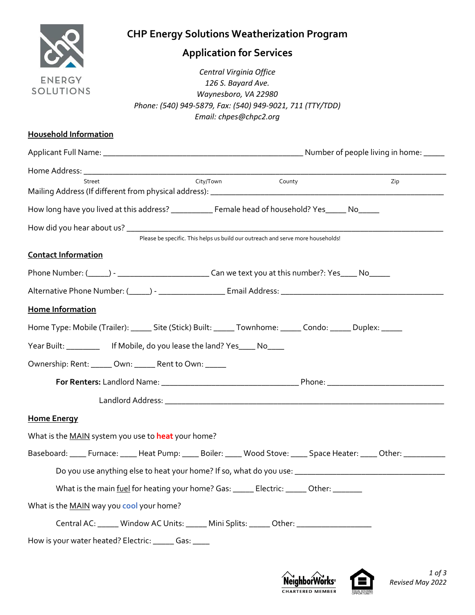

# **Application for Services**

 *Central Virginia Office 126 S. Bayard Ave. Waynesboro, VA 22980 Phone: (540) 949-5879, Fax: (540) 949-9021, 711 (TTY/TDD) Email: chpes@chpc2.org*

#### **Household Information**

| Street                                                                                                                  | City/Town | County                                                                          | Zip |
|-------------------------------------------------------------------------------------------------------------------------|-----------|---------------------------------------------------------------------------------|-----|
| How long have you lived at this address? ____________ Female head of household? Yes_____ No_____                        |           |                                                                                 |     |
|                                                                                                                         |           | Please be specific. This helps us build our outreach and serve more households! |     |
| <b>Contact Information</b>                                                                                              |           |                                                                                 |     |
|                                                                                                                         |           |                                                                                 |     |
|                                                                                                                         |           |                                                                                 |     |
| Home Information                                                                                                        |           |                                                                                 |     |
| Home Type: Mobile (Trailer): _______ Site (Stick) Built: ______ Townhome: ______ Condo: ______ Duplex: ______           |           |                                                                                 |     |
| Year Built: _______________ If Mobile, do you lease the land? Yes _____ No_____                                         |           |                                                                                 |     |
| Ownership: Rent: _____ Own: _____ Rent to Own: _____                                                                    |           |                                                                                 |     |
|                                                                                                                         |           |                                                                                 |     |
|                                                                                                                         |           |                                                                                 |     |
| <b>Home Energy</b>                                                                                                      |           |                                                                                 |     |
| What is the MAIN system you use to heat your home?                                                                      |           |                                                                                 |     |
| Baseboard: _____ Furnace: _____ Heat Pump: _____ Boiler: _____ Wood Stove: _____ Space Heater: _____ Other: ___________ |           |                                                                                 |     |
|                                                                                                                         |           |                                                                                 |     |
| What is the main fuel for heating your home? Gas: ______ Electric: ______ Other: _______                                |           |                                                                                 |     |
| What is the MAIN way you cool your home?                                                                                |           |                                                                                 |     |
| Central AC: Window AC Units: White Mini Splits: Wher: Western McContral AC:                                             |           |                                                                                 |     |
| How is your water heated? Electric: ______ Gas: ____                                                                    |           |                                                                                 |     |



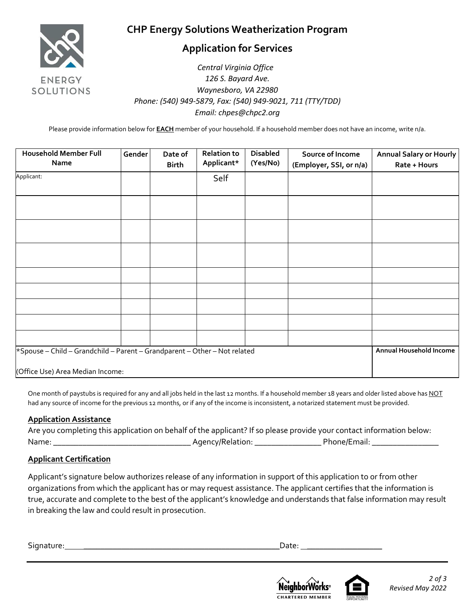

## **Application for Services**

#### *Central Virginia Office 126 S. Bayard Ave. Waynesboro, VA 22980 Phone: (540) 949-5879, Fax: (540) 949-9021, 711 (TTY/TDD) Email: chpes@chpc2.org*

Please provide information below for **EACH** member of your household. If a household member does not have an income, write n/a.

| <b>Household Member Full</b><br>Name                                      | Gender | Date of<br><b>Birth</b> | <b>Relation to</b><br>Applicant* | <b>Disabled</b><br>(Yes/No) | Source of Income<br>(Employer, SSI, or n/a) | Annual Salary or Hourly<br>Rate + Hours |
|---------------------------------------------------------------------------|--------|-------------------------|----------------------------------|-----------------------------|---------------------------------------------|-----------------------------------------|
| Applicant:                                                                |        |                         | Self                             |                             |                                             |                                         |
|                                                                           |        |                         |                                  |                             |                                             |                                         |
|                                                                           |        |                         |                                  |                             |                                             |                                         |
|                                                                           |        |                         |                                  |                             |                                             |                                         |
|                                                                           |        |                         |                                  |                             |                                             |                                         |
|                                                                           |        |                         |                                  |                             |                                             |                                         |
|                                                                           |        |                         |                                  |                             |                                             |                                         |
|                                                                           |        |                         |                                  |                             |                                             |                                         |
| *Spouse - Child - Grandchild - Parent - Grandparent - Other - Not related |        |                         |                                  |                             |                                             | Annual Household Income                 |
| (Office Use) Area Median Income:                                          |        |                         |                                  |                             |                                             |                                         |

One month of paystubs is required for any and all jobs held in the last 12 months. If a household member 18 years and older listed above has NOT had any source of income for the previous 12 months, or if any of the income is inconsistent, a notarized statement must be provided.

#### **Application Assistance**

| Are you completing this application on behalf of the applicant? If so please provide your contact information below: |                  |              |
|----------------------------------------------------------------------------------------------------------------------|------------------|--------------|
| Name:                                                                                                                | Agency/Relation: | Phone/Email: |

#### **Applicant Certification**

Applicant's signature below authorizes release of any information in support of this application to or from other organizations from which the applicant has or may request assistance. The applicant certifies that the information is true, accurate and complete to the best of the applicant's knowledge and understands that false information may result in breaking the law and could result in prosecution.

Signature: **\_\_\_\_\_\_\_\_\_\_\_\_\_\_\_\_\_\_\_\_\_\_\_\_\_\_\_\_\_\_\_\_\_\_\_\_\_\_\_\_\_\_\_\_\_\_\_**Date: **\_\_\_\_\_\_\_\_\_\_\_\_\_\_\_\_\_\_**